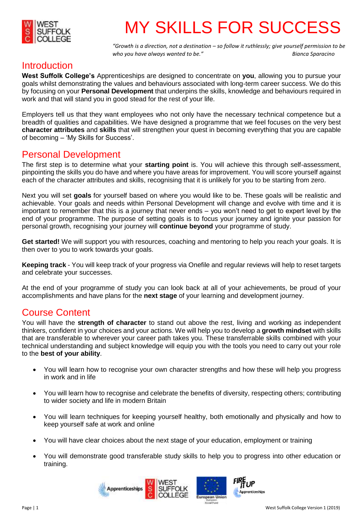

# MY SKILLS FOR SUCCESS

*"Growth is a direction, not a destination – so follow it ruthlessly; give yourself permission to be who you have always wanted to be."* **Bianca Sparacino** *Bianca Sparacino* 

#### Introduction

**West Suffolk College's** Apprenticeships are designed to concentrate on **you**, allowing you to pursue your goals whilst demonstrating the values and behaviours associated with long-term career success. We do this by focusing on your **Personal Development** that underpins the skills, knowledge and behaviours required in work and that will stand you in good stead for the rest of your life.

Employers tell us that they want employees who not only have the necessary technical competence but a breadth of qualities and capabilities. We have designed a programme that we feel focuses on the very best **character attributes** and **skills** that will strengthen your quest in becoming everything that you are capable of becoming – 'My Skills for Success'.

#### Personal Development

The first step is to determine what your **starting point** is. You will achieve this through self-assessment, pinpointing the skills you do have and where you have areas for improvement. You will score yourself against each of the character attributes and skills, recognising that it is unlikely for you to be starting from zero.

Next you will set **goals** for yourself based on where you would like to be. These goals will be realistic and achievable. Your goals and needs within Personal Development will change and evolve with time and it is important to remember that this is a journey that never ends – you won't need to get to expert level by the end of your programme. The purpose of setting goals is to focus your journey and ignite your passion for personal growth, recognising your journey will **continue beyond** your programme of study.

**Get started!** We will support you with resources, coaching and mentoring to help you reach your goals. It is then over to you to work towards your goals.

**Keeping track** - You will keep track of your progress via Onefile and regular reviews will help to reset targets and celebrate your successes.

At the end of your programme of study you can look back at all of your achievements, be proud of your accomplishments and have plans for the **next stage** of your learning and development journey.

### Course Content

You will have the **strength of character** to stand out above the rest, living and working as independent thinkers, confident in your choices and your actions. We will help you to develop a **growth mindset** with skills that are transferable to wherever your career path takes you. These transferrable skills combined with your technical understanding and subject knowledge will equip you with the tools you need to carry out your role to the **best of your ability**.

- You will learn how to recognise your own character strengths and how these will help you progress in work and in life
- You will learn how to recognise and celebrate the benefits of diversity, respecting others; contributing to wider society and life in modern Britain
- You will learn techniques for keeping yourself healthy, both emotionally and physically and how to keep yourself safe at work and online
- You will have clear choices about the next stage of your education, employment or training
- You will demonstrate good transferable study skills to help you to progress into other education or training.







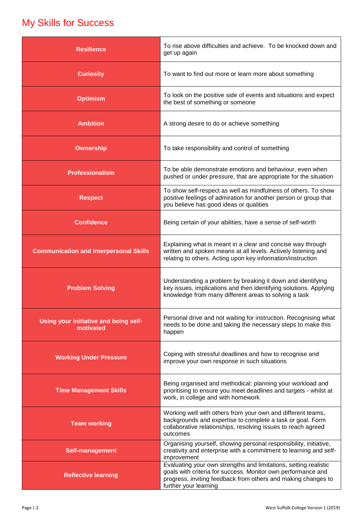## My Skills for Success

| <b>Resilience</b>                                  | To rise above difficulties and achieve. To be knocked down and<br>get up again                                                                                                                                             |
|----------------------------------------------------|----------------------------------------------------------------------------------------------------------------------------------------------------------------------------------------------------------------------------|
| <b>Curiosity</b>                                   | To want to find out more or learn more about something                                                                                                                                                                     |
| <b>Optimism</b>                                    | To look on the positive side of events and situations and expect<br>the best of something or someone                                                                                                                       |
| <b>Ambition</b>                                    | A strong desire to do or achieve something                                                                                                                                                                                 |
| <b>Ownership</b>                                   | To take responsibility and control of something                                                                                                                                                                            |
| <b>Professionalism</b>                             | To be able demonstrate emotions and behaviour, even when<br>pushed or under pressure, that are appropriate for the situation                                                                                               |
| <b>Respect</b>                                     | To show self-respect as well as mindfulness of others. To show<br>positive feelings of admiration for another person or group that<br>you believe has good ideas or qualities                                              |
| <b>Confidence</b>                                  | Being certain of your abilities, have a sense of self-worth                                                                                                                                                                |
| <b>Communication and Interpersonal Skills</b>      | Explaining what is meant in a clear and concise way through<br>written and spoken means at all levels. Actively listening and<br>relating to others. Acting upon key information/instruction                               |
| <b>Problem Solving</b>                             | Understanding a problem by breaking it down and identifying<br>key issues, implications and then identifying solutions. Applying<br>knowledge from many different areas to solving a task                                  |
| Using your initiative and being self-<br>motivated | Personal drive and not waiting for instruction. Recognising what<br>needs to be done and taking the necessary steps to make this<br>happen                                                                                 |
| <b>Working Under Pressure</b>                      | Coping with stressful deadlines and how to recognise and<br>improve your own response in such situations                                                                                                                   |
| <b>Time Management Skills</b>                      | Being organised and methodical: planning your workload and<br>prioritising to ensure you meet deadlines and targets - whilst at<br>work, in college and with homework                                                      |
| <b>Team working</b>                                | Working well with others from your own and different teams,<br>backgrounds and expertise to complete a task or goal. Form<br>collaborative relationships, resolving issues to reach agreed<br>outcomes                     |
| Self-management                                    | Organising yourself, showing personal responsibility, initiative,<br>creativity and enterprise with a commitment to learning and self-<br>improvement                                                                      |
| <b>Reflective learning</b>                         | Evaluating your own strengths and limitations, setting realistic<br>goals with criteria for success. Monitor own performance and<br>progress, inviting feedback from others and making changes to<br>further your learning |